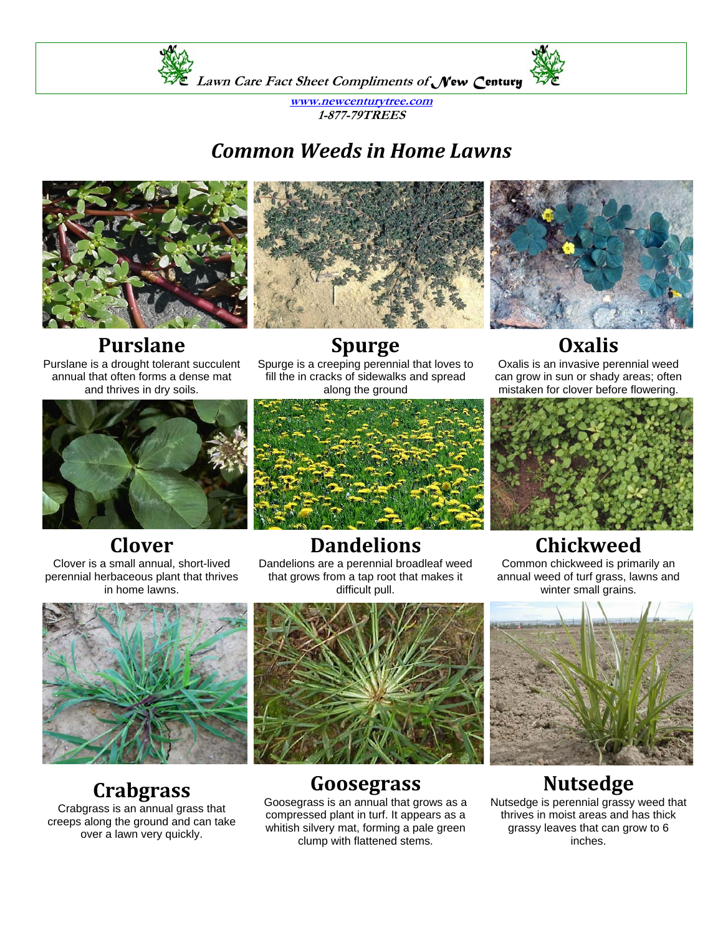

**www.newcenturytree.com 1-877-79TREES** 

## *Common Weeds in Home Lawns*







annual that often forms a dense mat and thrives in dry soils.

**Spurge** Spurge is a creeping perennial that loves to fill the in cracks of sidewalks and spread along the ground



## **Oxalis**

Oxalis is an invasive perennial weed can grow in sun or shady areas; often mistaken for clover before flowering.



# **Clover**

Clover is a small annual, short-lived perennial herbaceous plant that thrives in home lawns.



### **Dandelions**

Dandelions are a perennial broadleaf weed that grows from a tap root that makes it difficult pull.



#### **Goosegrass**

Goosegrass is an annual that grows as a compressed plant in turf. It appears as a whitish silvery mat, forming a pale green clump with flattened stems.

## **Chickweed**

Common chickweed is primarily an annual weed of turf grass, lawns and winter small grains.



### **Nutsedge**

Nutsedge is perennial grassy weed that thrives in moist areas and has thick grassy leaves that can grow to 6 inches.



# **Crabgrass**

Crabgrass is an annual grass that creeps along the ground and can take over a lawn very quickly.